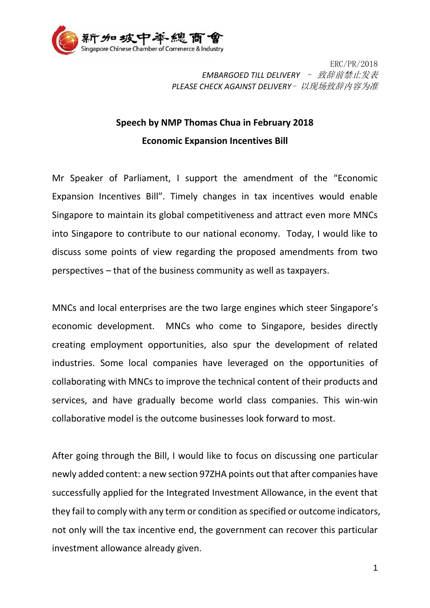

ERC/PR/2018 *EMBARGOED TILL DELIVERY* – 致辞前禁止发表 *PLEASE CHECK AGAINST DELIVERY*- 以现场致辞内容为准

## **Speech by NMP Thomas Chua in February 2018 Economic Expansion Incentives Bill**

Mr Speaker of Parliament, I support the amendment of the "Economic Expansion Incentives Bill". Timely changes in tax incentives would enable Singapore to maintain its global competitiveness and attract even more MNCs into Singapore to contribute to our national economy. Today, I would like to discuss some points of view regarding the proposed amendments from two perspectives – that of the business community as well as taxpayers.

MNCs and local enterprises are the two large engines which steer Singapore's economic development. MNCs who come to Singapore, besides directly creating employment opportunities, also spur the development of related industries. Some local companies have leveraged on the opportunities of collaborating with MNCs to improve the technical content of their products and services, and have gradually become world class companies. This win-win collaborative model is the outcome businesses look forward to most.

After going through the Bill, I would like to focus on discussing one particular newly added content: a new section 97ZHA points out that after companies have successfully applied for the Integrated Investment Allowance, in the event that they fail to comply with any term or condition as specified or outcome indicators, not only will the tax incentive end, the government can recover this particular investment allowance already given.

1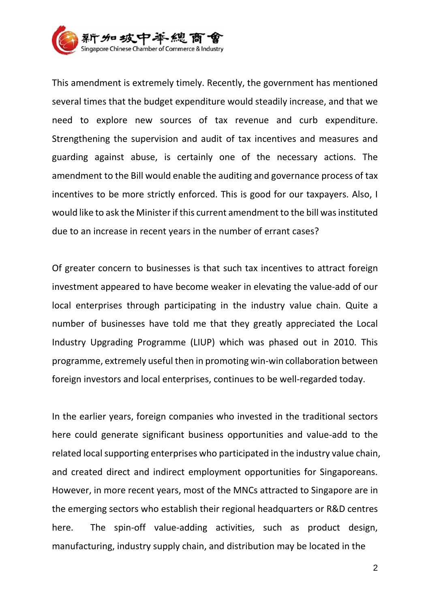

This amendment is extremely timely. Recently, the government has mentioned several times that the budget expenditure would steadily increase, and that we need to explore new sources of tax revenue and curb expenditure. Strengthening the supervision and audit of tax incentives and measures and guarding against abuse, is certainly one of the necessary actions. The amendment to the Bill would enable the auditing and governance process of tax incentives to be more strictly enforced. This is good for our taxpayers. Also, I would like to ask the Minister if this current amendment to the bill was instituted due to an increase in recent years in the number of errant cases?

Of greater concern to businesses is that such tax incentives to attract foreign investment appeared to have become weaker in elevating the value-add of our local enterprises through participating in the industry value chain. Quite a number of businesses have told me that they greatly appreciated the Local Industry Upgrading Programme (LIUP) which was phased out in 2010. This programme, extremely useful then in promoting win-win collaboration between foreign investors and local enterprises, continues to be well-regarded today.

In the earlier years, foreign companies who invested in the traditional sectors here could generate significant business opportunities and value-add to the related local supporting enterprises who participated in the industry value chain, and created direct and indirect employment opportunities for Singaporeans. However, in more recent years, most of the MNCs attracted to Singapore are in the emerging sectors who establish their regional headquarters or R&D centres here. The spin-off value-adding activities, such as product design, manufacturing, industry supply chain, and distribution may be located in the

2